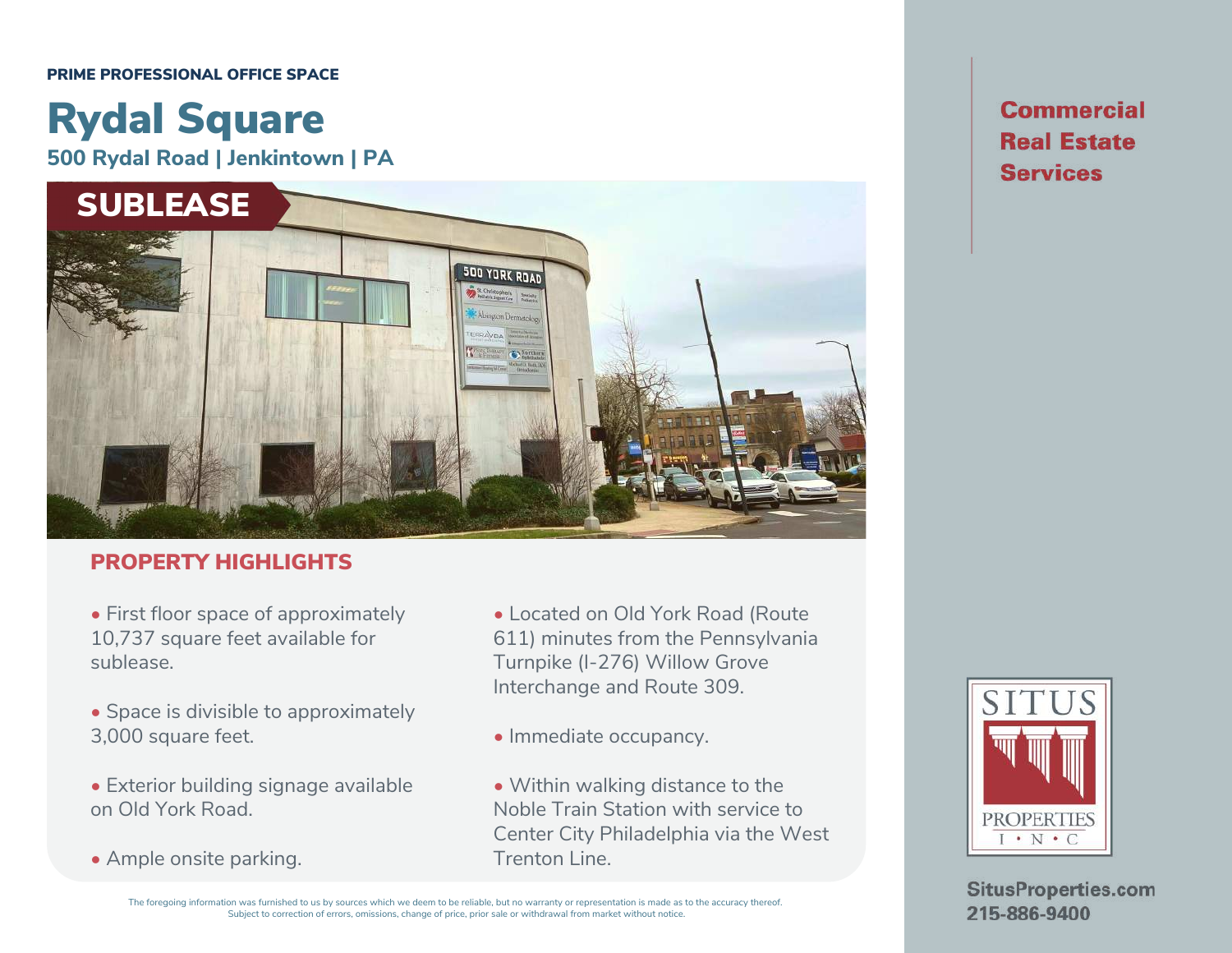#### PRIME PROFESSIONAL OFFICE SPACE

# Rydal Square

**500 Rydal Road | Jenkintown | PA**



## PROPERTY HIGHLIGHTS

• First floor space of approximately 10,737 square feet available for sublease.

- Space is divisible to approximately 3,000 square feet.
- Exterior building signage available on Old York Road.
- Ample onsite parking.
- Located on Old York Road (Route 611) minutes from the Pennsylvania Turnpike (I-276) Willow Grove Interchange and Route 309.
- Immediate occupancy.
- Within walking distance to the Noble Train Station with service to Center City Philadelphia via the West Trenton Line.

**Commercial Real Estate Services** 



**SitusProperties.com** 215-886-9400

The foregoing information was furnished to us by sources which we deem to be reliable, but no warranty or representation is made as to the accuracy thereof. Subject to correction of errors, omissions, change of price, prior sale or withdrawal from market without notice.